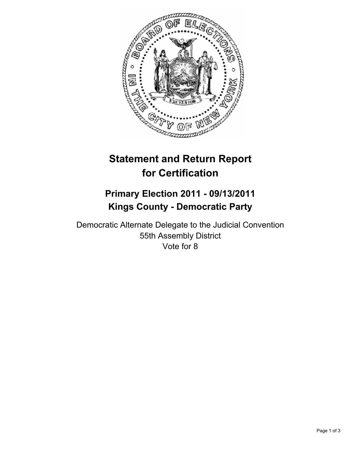

# **Statement and Return Report for Certification**

## **Primary Election 2011 - 09/13/2011 Kings County - Democratic Party**

Democratic Alternate Delegate to the Judicial Convention 55th Assembly District Vote for 8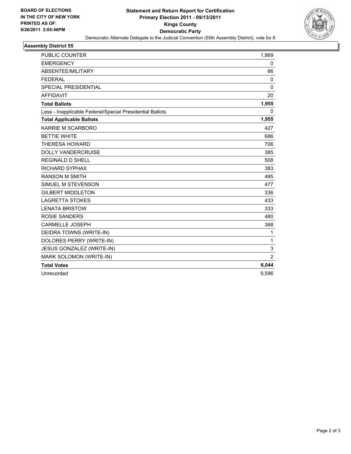

## **Assembly District 55**

| <b>PUBLIC COUNTER</b>                                    | 1,869          |
|----------------------------------------------------------|----------------|
| <b>EMERGENCY</b>                                         | 0              |
| ABSENTEE/MILITARY                                        | 66             |
| <b>FEDERAL</b>                                           | 0              |
| SPECIAL PRESIDENTIAL                                     | 0              |
| <b>AFFIDAVIT</b>                                         | 20             |
| <b>Total Ballots</b>                                     | 1,955          |
| Less - Inapplicable Federal/Special Presidential Ballots | $\mathbf{0}$   |
| <b>Total Applicable Ballots</b>                          | 1,955          |
| KARRIE M SCARBORO                                        | 427            |
| <b>BETTIE WHITE</b>                                      | 686            |
| <b>THERESA HOWARD</b>                                    | 706            |
| <b>DOLLY VANDERCRUISE</b>                                | 385            |
| <b>REGINALD D SHELL</b>                                  | 508            |
| <b>RICHARD SYPHAX</b>                                    | 383            |
| <b>RANSON M SMITH</b>                                    | 495            |
| SIMUEL M STEVENSON                                       | 477            |
| <b>GILBERT MIDDLETON</b>                                 | 336            |
| <b>LAGRETTA STOKES</b>                                   | 433            |
| <b>LENATA BRISTOW</b>                                    | 333            |
| <b>ROSIE SANDERS</b>                                     | 480            |
| <b>CARMELLE JOSEPH</b>                                   | 388            |
| DEIDRA TOWNS (WRITE-IN)                                  | $\mathbf{1}$   |
| DOLORES PERRY (WRITE-IN)                                 | 1              |
| JESUS GONZALEZ (WRITE-IN)                                | 3              |
| MARK SOLOMON (WRITE-IN)                                  | $\overline{2}$ |
| <b>Total Votes</b>                                       | 6,044          |
| Unrecorded                                               | 9,596          |